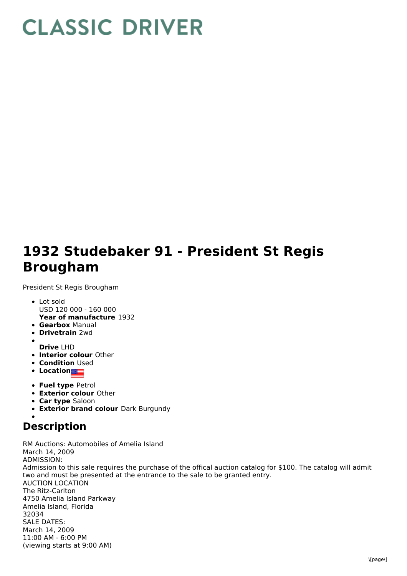## **CLASSIC DRIVER**

## **1932 Studebaker 91 - President St Regis Brougham**

President St Regis Brougham

- **Year of manufacture** 1932 Lot sold USD 120 000 - 160 000
- **Gearbox** Manual
- **Drivetrain** 2wd
- 
- **Drive** LHD
- **Interior colour** Other
- **Condition Used**
- **Location**
- **Fuel type** Petrol
- **Exterior colour** Other
- **Car type** Saloon
- **Exterior brand colour** Dark Burgundy

## **Description**

RM Auctions: Automobiles of Amelia Island March 14, 2009 ADMISSION: Admission to this sale requires the purchase of the offical auction catalog for \$100. The catalog will admit two and must be presented at the entrance to the sale to be granted entry. AUCTION LOCATION The Ritz-Carlton 4750 Amelia Island Parkway Amelia Island, Florida 32034 SALE DATES: March 14, 2009 11:00 AM - 6:00 PM (viewing starts at 9:00 AM)